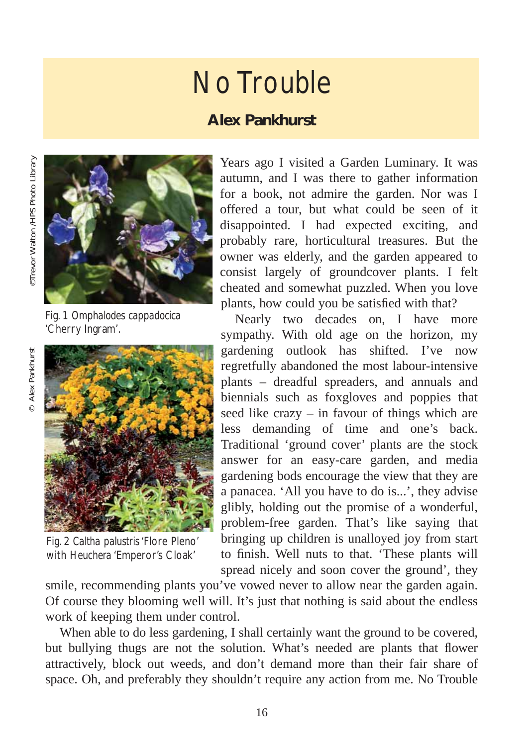## No Trouble

## **Alex Pankhurst**





Fig. 1 *Omphalodes cappadocica* 'Cherry Ingram'.



Fig. 2 *Caltha palustris* 'Flore Pleno' with *Heuchera* 'Emperor's Cloak'

Years ago I visited a Garden Luminary. It was autumn, and I was there to gather information for a book, not admire the garden. Nor was I offered a tour, but what could be seen of it disappointed. I had expected exciting, and probably rare, horticultural treasures. But the owner was elderly, and the garden appeared to consist largely of groundcover plants. I felt cheated and somewhat puzzled. When you love plants, how could you be satisfied with that?

Nearly two decades on, I have more sympathy. With old age on the horizon, my gardening outlook has shifted. I've now regretfully abandoned the most labour-intensive plants – dreadful spreaders, and annuals and biennials such as foxgloves and poppies that seed like crazy – in favour of things which are less demanding of time and one's back. Traditional 'ground cover' plants are the stock answer for an easy-care garden, and media gardening bods encourage the view that they are a panacea. 'All you have to do is...', they advise glibly, holding out the promise of a wonderful, problem-free garden. That's like saying that bringing up children is unalloyed joy from start to finish. Well nuts to that. 'These plants will spread nicely and soon cover the ground', they

smile, recommending plants you've vowed never to allow near the garden again. Of course they blooming well will. It's just that nothing is said about the endless work of keeping them under control.

When able to do less gardening, I shall certainly want the ground to be covered, but bullying thugs are not the solution. What's needed are plants that flower attractively, block out weeds, and don't demand more than their fair share of space. Oh, and preferably they shouldn't require any action from me. No Trouble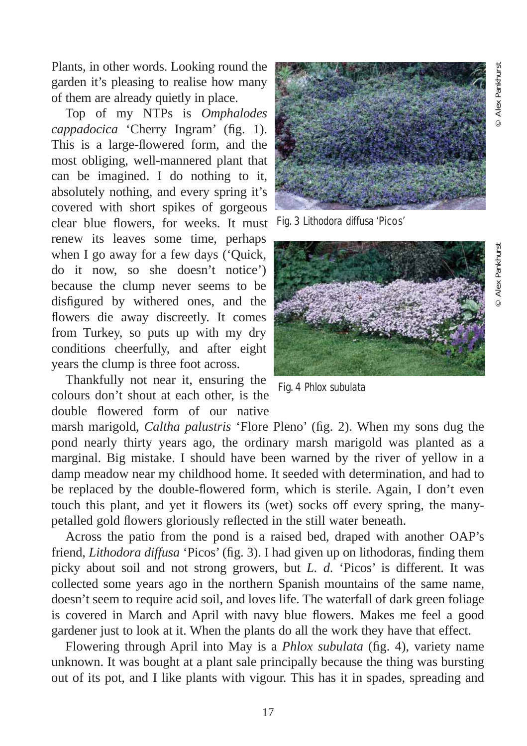Alex Pankhurst

Plants, in other words. Looking round the garden it's pleasing to realise how many of them are already quietly in place.

Top of my NTPs is *Omphalodes cappadocica* 'Cherry Ingram' (fig. 1). This is a large-flowered form, and the most obliging, well-mannered plant that can be imagined. I do nothing to it, absolutely nothing, and every spring it's covered with short spikes of gorgeous clear blue flowers, for weeks. It must renew its leaves some time, perhaps when I go away for a few days ('Quick, do it now, so she doesn't notice') because the clump never seems to be disfigured by withered ones, and the flowers die away discreetly. It comes from Turkey, so puts up with my dry conditions cheerfully, and after eight years the clump is three foot across.

Thankfully not near it, ensuring the colours don't shout at each other, is the double flowered form of our native

marsh marigold, *Caltha palustris* 'Flore Pleno' (fig. 2). When my sons dug the pond nearly thirty years ago, the ordinary marsh marigold was planted as a marginal. Big mistake. I should have been warned by the river of yellow in a damp meadow near my childhood home. It seeded with determination, and had to be replaced by the double-flowered form, which is sterile. Again, I don't even touch this plant, and yet it flowers its (wet) socks off every spring, the manypetalled gold flowers gloriously reflected in the still water beneath.

Across the patio from the pond is a raised bed, draped with another OAP's friend, *Lithodora diffusa* 'Picos' (fig. 3). I had given up on lithodoras, finding them picky about soil and not strong growers, but *L. d*. 'Picos' is different. It was collected some years ago in the northern Spanish mountains of the same name, doesn't seem to require acid soil, and loves life. The waterfall of dark green foliage is covered in March and April with navy blue flowers. Makes me feel a good gardener just to look at it. When the plants do all the work they have that effect.

Flowering through April into May is a *Phlox subulata* (fig. 4), variety name unknown. It was bought at a plant sale principally because the thing was bursting out of its pot, and I like plants with vigour. This has it in spades, spreading and



Fig. 3 *Lithodora diffusa* 'Picos'



Fig. 4 *Phlox subulata*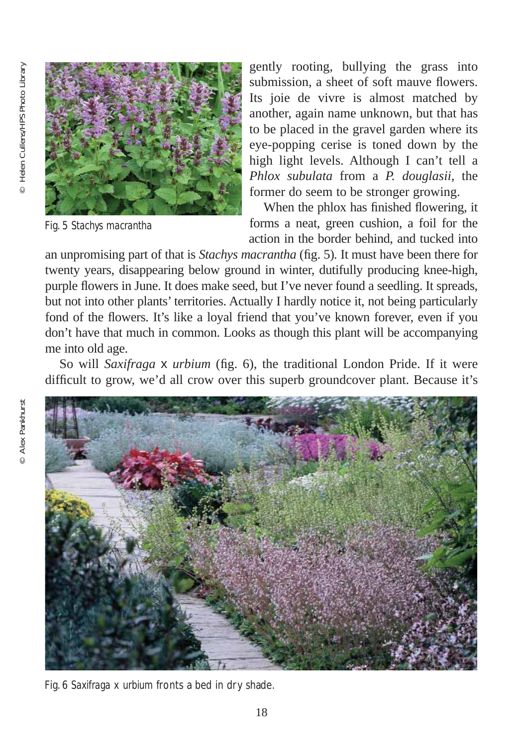

Fig. 5 *Stachys macrantha*

gently rooting, bullying the grass into submission, a sheet of soft mauve flowers. Its joie de vivre is almost matched by another, again name unknown, but that has to be placed in the gravel garden where its eye-popping cerise is toned down by the high light levels. Although I can't tell a *Phlox subulata* from a *P. douglasii*, the former do seem to be stronger growing.

When the phlox has finished flowering, it forms a neat, green cushion, a foil for the action in the border behind, and tucked into

an unpromising part of that is *Stachys macrantha* (fig. 5)*.* It must have been there for twenty years, disappearing below ground in winter, dutifully producing knee-high, purple flowers in June. It does make seed, but I've never found a seedling. It spreads, but not into other plants' territories. Actually I hardly notice it, not being particularly fond of the flowers. It's like a loyal friend that you've known forever, even if you don't have that much in common. Looks as though this plant will be accompanying me into old age.

So will *Saxifraga* x *urbium* (fig. 6), the traditional London Pride. If it were difficult to grow, we'd all crow over this superb groundcover plant. Because it's



Fig. 6 *Saxifraga* x *urbium* fronts a bed in dry shade.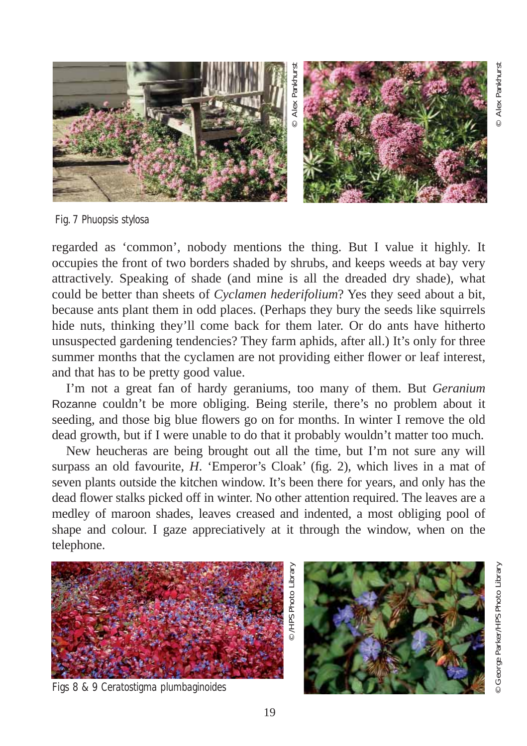

Fig. 7 *Phuopsis stylosa*

regarded as 'common', nobody mentions the thing. But I value it highly. It occupies the front of two borders shaded by shrubs, and keeps weeds at bay very attractively. Speaking of shade (and mine is all the dreaded dry shade), what could be better than sheets of *Cyclamen hederifolium*? Yes they seed about a bit, because ants plant them in odd places. (Perhaps they bury the seeds like squirrels hide nuts, thinking they'll come back for them later. Or do ants have hitherto unsuspected gardening tendencies? They farm aphids, after all.) It's only for three summer months that the cyclamen are not providing either flower or leaf interest, and that has to be pretty good value.

I'm not a great fan of hardy geraniums, too many of them. But *Geranium* Rozanne couldn't be more obliging. Being sterile, there's no problem about it seeding, and those big blue flowers go on for months. In winter I remove the old dead growth, but if I were unable to do that it probably wouldn't matter too much.

New heucheras are being brought out all the time, but I'm not sure any will surpass an old favourite, *H*. 'Emperor's Cloak' (fig. 2), which lives in a mat of seven plants outside the kitchen window. It's been there for years, and only has the dead flower stalks picked off in winter. No other attention required. The leaves are a medley of maroon shades, leaves creased and indented, a most obliging pool of shape and colour. I gaze appreciatively at it through the window, when on the telephone.



Figs 8 & 9 *Ceratostigma plumbaginoides*